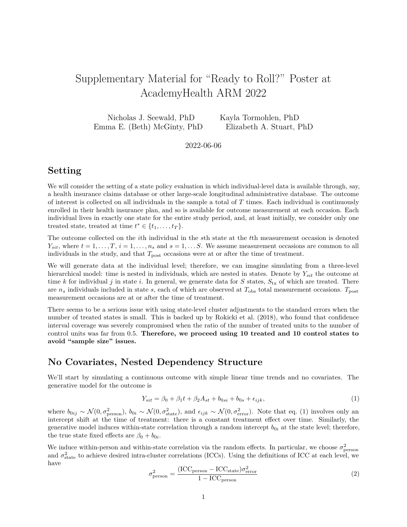# Supplementary Material for "Ready to Roll?" Poster at AcademyHealth ARM 2022

Nicholas J. Seewald, PhD Kayla Tormohlen, PhD Emma E. (Beth) McGinty, PhD Elizabeth A. Stuart, PhD

2022-06-06

#### **Setting**

We will consider the setting of a state policy evaluation in which individual-level data is available through, say, a health insurance claims database or other large-scale longitudinal administrative database. The outcome of interest is collected on all individuals in the sample a total of *T* times. Each individual is continuously enrolled in their health insurance plan, and so is available for outcome measurement at each occasion. Each individual lives in exactly one state for the entire study period, and, at least initially, we consider only one treated state, treated at time  $t^* \in \{t_1, \ldots, t_T\}$ .

The outcome collected on the *i*th individual in the *s*th state at the *t*th measurement occasion is denoted  $Y_{sit}$ , where  $t = 1, \ldots, T$ ,  $i = 1, \ldots, n_s$  and  $s = 1, \ldots, S$ . We assume measurement occasions are common to all individuals in the study, and that  $T_{\text{post}}$  occasions were at or after the time of treatment.

We will generate data at the individual level; therefore, we can imagine simulating from a three-level hierarchical model: time is nested in individuals, which are nested in states. Denote by *Ysit* the outcome at time k for individual j in state *i*. In general, we generate data for S states,  $S_{tx}$  of which are treated. There are  $n_s$  individuals included in state *s*, each of which are observed at  $T_{obs}$  total measurement occasions.  $T_{post}$ measurement occasions are at or after the time of treatment.

There seems to be a serious issue with using state-level cluster adjustments to the standard errors when the number of treated states is small. This is backed up by Rokicki et al. (2018), who found that confidence interval coverage was severely compromised when the ratio of the number of treated units to the number of control units was far from 0.5. **Therefore, we proceed using 10 treated and 10 control states to avoid "sample size" issues.**

### **No Covariates, Nested Dependency Structure**

We'll start by simulating a continuous outcome with simple linear time trends and no covariates. The generative model for the outcome is

<span id="page-0-0"></span>
$$
Y_{sit} = \beta_0 + \beta_1 t + \beta_2 A_{st} + b_{0si} + b_{0s} + \epsilon_{ijk},
$$
\n(1)

where  $b_{0ij} \sim \mathcal{N}(0, \sigma_{\text{person}}^2)$ ,  $b_{0i} \sim \mathcal{N}(0, \sigma_{\text{state}}^2)$ , and  $\epsilon_{ijk} \sim \mathcal{N}(0, \sigma_{\text{error}}^2)$ . Note that eq. [\(1\)](#page-0-0) involves only an intercept shift at the time of treatment: there is a constant treatment effect over time. Similarly, the generative model induces within-state correlation through a random intercept  $b_{0i}$  at the state level; therefore, the true state fixed effects are  $\beta_0 + b_{0i}$ .

We induce within-person and within-state correlation via the random effects. In particular, we choose  $\sigma_{\text{person}}^2$ and  $\sigma_{\text{state}}^2$  to achieve desired intra-cluster correlations (ICCs). Using the definitions of ICC at each level, we have

$$
\sigma_{\text{person}}^2 = \frac{(\text{ICC}_{\text{person}} - \text{ICC}_{\text{state}})\sigma_{\text{error}}^2}{1 - \text{ICC}_{\text{person}}}
$$
\n(2)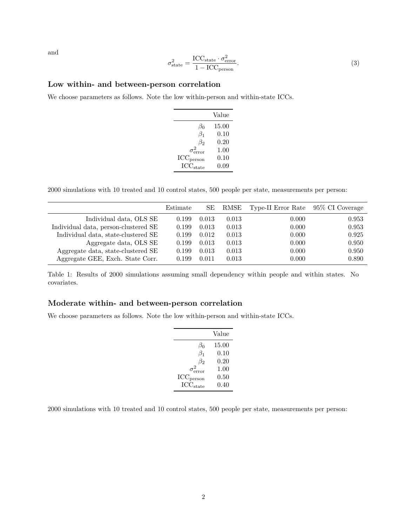and

$$
\sigma_{\text{state}}^2 = \frac{\text{ICC}_{\text{state}} \cdot \sigma_{\text{error}}^2}{1 - \text{ICC}_{\text{person}}}. \tag{3}
$$

#### **Low within- and between-person correlation**

We choose parameters as follows. Note the low within-person and within-state ICCs.

|                                  | Value |
|----------------------------------|-------|
| $\beta_0$                        | 15.00 |
| $\beta_1$                        | 0.10  |
| $\beta_2$                        | 0.20  |
| $\sigma_{\text{error}}^2$        | 1.00  |
| $\mathrm{ICC}_{\mathrm{person}}$ | 0.10  |
| $\mathrm{ICC}_{\mathrm{state}}$  | 0.09  |

2000 simulations with 10 treated and 10 control states, 500 people per state, measurements per person:

|                                      | Estimate | SЕ    | RMSE  | Type-II Error Rate | 95\% CI Coverage |
|--------------------------------------|----------|-------|-------|--------------------|------------------|
| Individual data, OLS SE              | 0.199    | 0.013 | 0.013 | 0.000              | 0.953            |
| Individual data, person-clustered SE | 0.199    | 0.013 | 0.013 | 0.000              | 0.953            |
| Individual data, state-clustered SE  | 0.199    | 0.012 | 0.013 | 0.000              | 0.925            |
| Aggregate data, OLS SE               | 0.199    | 0.013 | 0.013 | 0.000              | 0.950            |
| Aggregate data, state-clustered SE   | 0.199    | 0.013 | 0.013 | 0.000              | 0.950            |
| Aggregate GEE, Exch. State Corr.     | 0.199    | 0.011 | 0.013 | 0.000              | 0.890            |

Table 1: Results of 2000 simulations assuming small dependency within people and within states. No covariates.

#### **Moderate within- and between-person correlation**

We choose parameters as follows. Note the low within-person and within-state ICCs.

|                                 | Value    |
|---------------------------------|----------|
| $\beta_0$                       | 15.00    |
| $\beta_1$                       | 0.10     |
| $\beta_2$                       | 0.20     |
| $\sigma_{\text{error}}^2$       | $1.00\,$ |
| $\rm{ICC}_{\rm{person}}$        | 0.50     |
| $\mathrm{ICC}_{\mathrm{state}}$ | 0.40     |

2000 simulations with 10 treated and 10 control states, 500 people per state, measurements per person: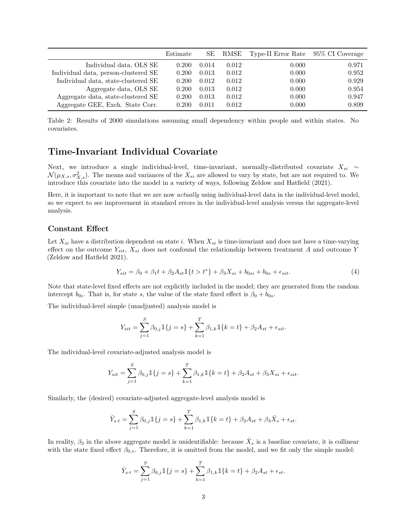|                                      | Estimate | SЕ    | RMSE  | Type-II Error Rate | 95\% CI Coverage |
|--------------------------------------|----------|-------|-------|--------------------|------------------|
| Individual data, OLS SE              | 0.200    | 0.014 | 0.012 | 0.000              | 0.971            |
| Individual data, person-clustered SE | 0.200    | 0.013 | 0.012 | 0.000              | 0.952            |
| Individual data, state-clustered SE  | 0.200    | 0.012 | 0.012 | 0.000              | 0.929            |
| Aggregate data, OLS SE               | 0.200    | 0.013 | 0.012 | 0.000              | 0.954            |
| Aggregate data, state-clustered SE   | 0.200    | 0.013 | 0.012 | 0.000              | 0.947            |
| Aggregate GEE, Exch. State Corr.     | 0.200    | 0.011 | 0.012 | 0.000              | 0.899            |

Table 2: Results of 2000 simulations assuming small dependency within people and within states. No covariates.

## **Time-Invariant Individual Covariate**

Next, we introduce a single individual-level, time-invariant, normally-distributed covariate *Xsi* ∼  $\mathcal{N}(\mu_{X,s}, \sigma_{X,s}^2)$ . The means and variances of the  $X_{si}$  are allowed to vary by state, but are not required to. We introduce this covariate into the model in a variety of ways, following Zeldow and Hatfield (2021).

Here, it is important to note that we are now *actually* using individual-level data in the individual-level model, so we expect to see improvement in standard errors in the individual-level analysis versus the aggregate-level analysis.

#### **Constant Effect**

Let  $X_{si}$  have a distribution dependent on state *i*. When  $X_{si}$  is time-invariant and does not have a time-varying effect on the outcome *Ysit*, *Xsi* does not confound the relationship between treatment *A* and outcome *Y* (Zeldow and Hatfield 2021).

$$
Y_{sit} = \beta_0 + \beta_1 t + \beta_2 A_{st} \mathbb{1}\{t > t^*\} + \beta_3 X_{si} + b_{0si} + b_{0s} + \epsilon_{sit}.
$$

$$
\tag{4}
$$

Note that state-level fixed effects are not explicitly included in the model; they are generated from the random intercept  $b_{0i}$ . That is, for state *s*, the value of the state fixed effect is  $\beta_0 + b_{0s}$ .

The individual-level simple (unadjusted) analysis model is

$$
Y_{sit} = \sum_{j=1}^{S} \beta_{0,j} \mathbb{1}\{j=s\} + \sum_{k=1}^{T} \beta_{1,k} \mathbb{1}\{k=t\} + \beta_2 A_{st} + \epsilon_{sit}.
$$

The individual-level covariate-adjusted analysis model is

$$
Y_{sit} = \sum_{j=1}^{S} \beta_{0,j} \mathbb{1}\{j=s\} + \sum_{k=1}^{T} \beta_{1,k} \mathbb{1}\{k=t\} + \beta_2 A_{st} + \beta_3 X_{si} + \epsilon_{sit}.
$$

Similarly, the (desired) covariate-adjusted aggregate-level analysis model is

$$
\bar{Y}_{s \cdot t} = \sum_{j=1}^{S} \beta_{0,j} \mathbb{1}\{j = s\} + \sum_{k=1}^{T} \beta_{1,k} \mathbb{1}\{k = t\} + \beta_2 A_{st} + \beta_3 \bar{X}_s + \epsilon_{st}.
$$

In reality,  $\beta_3$  in the above aggregate model is unidentifiable: because  $\bar{X}_s$  is a baseline covariate, it is collinear with the state fixed effect  $\beta_{0,s}$ . Therefore, it is omitted from the model, and we fit only the simple model:

$$
\bar{Y}_{s \cdot t} = \sum_{j=1}^{S} \beta_{0,j} \mathbb{1} \{j = s\} + \sum_{k=1}^{T} \beta_{1,k} \mathbb{1} \{k = t\} + \beta_2 A_{st} + \epsilon_{st}.
$$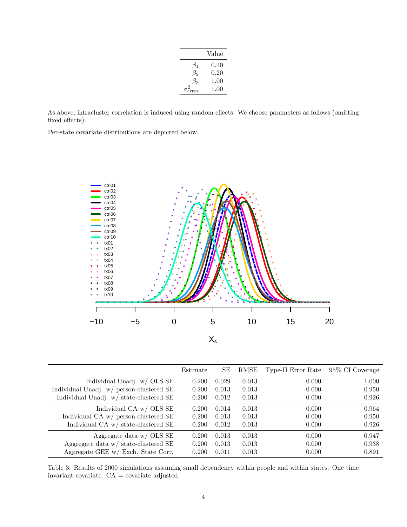|           | Value    |
|-----------|----------|
| $\beta_1$ | 0.10     |
| $\beta_2$ | 0.20     |
| $\beta_3$ | 1.00     |
| error     | $1.00\,$ |

As above, intracluster correlation is induced using random effects. We choose parameters as follows (omitting fixed effects).

Per-state covariate distributions are depicted below.



|                                          | Estimate | SЕ    | RMSE  | Type-II Error Rate | 95\% CI Coverage |
|------------------------------------------|----------|-------|-------|--------------------|------------------|
| Individual Unadj. w/ OLS SE              | 0.200    | 0.029 | 0.013 | 0.000              | 1.000            |
| Individual Unadj. w/ person-clustered SE | 0.200    | 0.013 | 0.013 | 0.000              | 0.950            |
| Individual Unadj. w/ state-clustered SE  | 0.200    | 0.012 | 0.013 | 0.000              | 0.926            |
| Individual CA w/ OLS SE                  | 0.200    | 0.014 | 0.013 | 0.000              | 0.964            |
| Individual CA $w/$ person-clustered SE   | 0.200    | 0.013 | 0.013 | 0.000              | 0.950            |
| Individual CA w/ state-clustered SE      | 0.200    | 0.012 | 0.013 | 0.000              | 0.926            |
| Aggregate data $w/$ OLS SE               | 0.200    | 0.013 | 0.013 | 0.000              | 0.947            |
| Aggregate data $w/$ state-clustered SE   | 0.200    | 0.013 | 0.013 | 0.000              | 0.938            |
| Aggregate GEE w/ Exch. State Corr.       | 0.200    | 0.011 | 0.013 | 0.000              | 0.891            |

Table 3: Results of 2000 simulations assuming small dependency within people and within states. One time invariant covariate. CA = covariate adjusted.